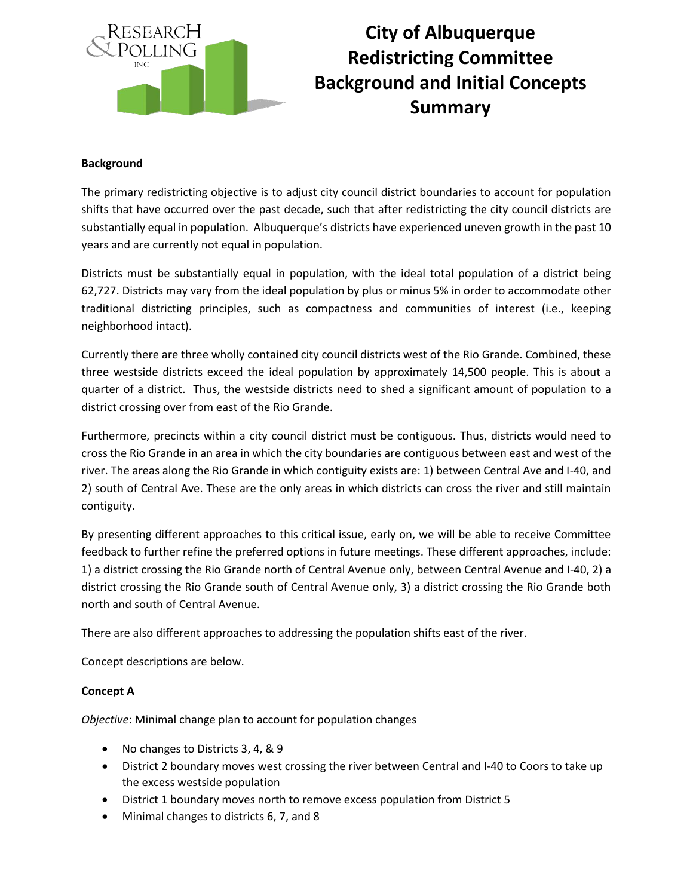

# **City of Albuquerque Redistricting Committee Background and Initial Concepts Summary**

#### **Background**

The primary redistricting objective is to adjust city council district boundaries to account for population shifts that have occurred over the past decade, such that after redistricting the city council districts are substantially equal in population. Albuquerque's districts have experienced uneven growth in the past 10 years and are currently not equal in population.

Districts must be substantially equal in population, with the ideal total population of a district being 62,727. Districts may vary from the ideal population by plus or minus 5% in order to accommodate other traditional districting principles, such as compactness and communities of interest (i.e., keeping neighborhood intact).

Currently there are three wholly contained city council districts west of the Rio Grande. Combined, these three westside districts exceed the ideal population by approximately 14,500 people. This is about a quarter of a district. Thus, the westside districts need to shed a significant amount of population to a district crossing over from east of the Rio Grande.

Furthermore, precincts within a city council district must be contiguous. Thus, districts would need to cross the Rio Grande in an area in which the city boundaries are contiguous between east and west of the river. The areas along the Rio Grande in which contiguity exists are: 1) between Central Ave and I-40, and 2) south of Central Ave. These are the only areas in which districts can cross the river and still maintain contiguity.

By presenting different approaches to this critical issue, early on, we will be able to receive Committee feedback to further refine the preferred options in future meetings. These different approaches, include: 1) a district crossing the Rio Grande north of Central Avenue only, between Central Avenue and I-40, 2) a district crossing the Rio Grande south of Central Avenue only, 3) a district crossing the Rio Grande both north and south of Central Avenue.

There are also different approaches to addressing the population shifts east of the river.

Concept descriptions are below.

#### **Concept A**

*Objective*: Minimal change plan to account for population changes

- No changes to Districts 3, 4, & 9
- District 2 boundary moves west crossing the river between Central and I-40 to Coors to take up the excess westside population
- District 1 boundary moves north to remove excess population from District 5
- Minimal changes to districts 6, 7, and 8